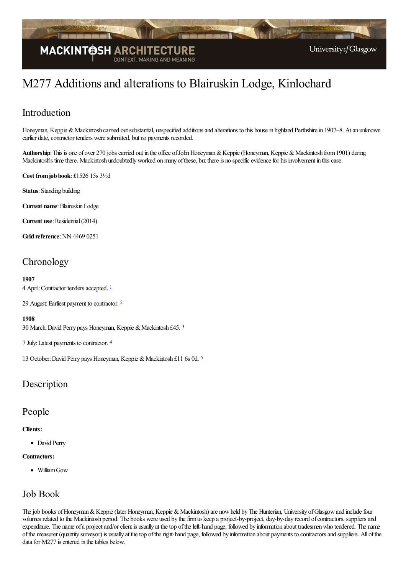

# M277 Additions and alterations to Blairuskin Lodge, Kinlochard

## Introduction

Honeyman, Keppie & Mackintosh carried out substantial, unspecified additions and alterations to this house in highland Perthshire in 1907–8. At an unknown earlier date, contractor tenders were submitted, but no payments recorded.

Authorship: This is one of over 270 jobs carried out in the office of John Honeyman & Keppie (Honeyman, Keppie & Mackintosh from 1901) during Mackintosh's time there. Mackintosh undoubtedly worked on many of these, but there is no specific evidence for his involvement in this case.

**Cost fromjob book**: £1526 15s 3½d

**Status**: Standing building

**Current name**:BlairuskinLodge

**Current use:** Residential (2014)

**Grid reference:** NN 4469 0251

# **Chronology**

<span id="page-0-0"></span>**1907**

4 April: Contractor tenders accepted. <sup>[1](#page-3-0)</sup>

<span id="page-0-1"></span>[2](#page-3-1)9 August: Earliest payment to contractor. <sup>2</sup>

#### **1908**

<span id="page-0-2"></span>[3](#page-3-2)0 March: David Perry pays Honeyman, Keppie & Mackintosh £45. 3

<span id="page-0-3"></span>7 July:Latest payments to contractor. [4](#page-3-3)

<span id="page-0-4"></span>13 October: David Perry pays Honeyman, Keppie & Mackintosh £11 6s 0d. [5](#page-3-4)

### Description

#### People

**Clients:**

• David Perry

#### **Contractors:**

• William Gow

### Job Book

The job books of Honeyman & Keppie (later Honeyman, Keppie & Mackintosh) are now held by The Hunterian, University of Glasgow and include four volumes related to the Mackintosh period. The books were used by the firm to keep a project-by-project, day-by-day record of contractors, suppliers and expenditure. The name of a project and/or client is usually at the top of the left-hand page, followed by information about tradesmen who tendered. The name ofthe measurer (quantity surveyor) is usually at thetop oftheright-hand page, followed by information about payments to contractorsand suppliers. All ofthe data for M277 is entered in the tables below.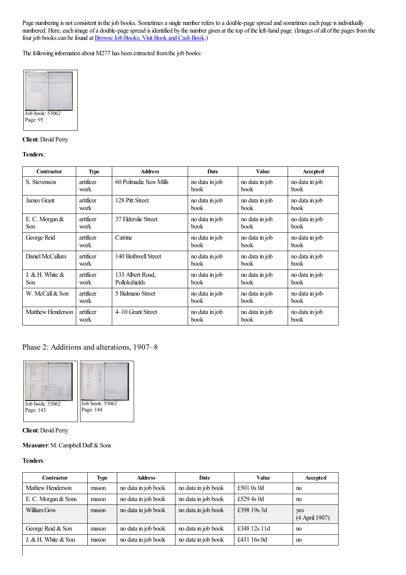Page numbering is not consistent in the job books. Sometimes a single number refers to a double-page spread and sometimes each page is individually numbered. Here, each image of a double-page spread is identified by the number given at the top of the left-hand page. (Images of all of the pages from the four job books can be found at **Browse Job Books**, Visit Book and Cash Book.)

The following information about M277 has been extracted from the job books:



#### **Client**: David Perry

#### **Tenders**:

| <b>Contractor</b>            | <b>Type</b>       | <b>Address</b>                    | Date                          | <b>Value</b>                  | Accepted                      |
|------------------------------|-------------------|-----------------------------------|-------------------------------|-------------------------------|-------------------------------|
| S. Stevenson                 | artificer<br>work | 60 Polmadie Saw Mills             | no data in job<br><b>book</b> | no data in job<br><b>book</b> | no data in job<br><b>book</b> |
| James Grant                  | artificer<br>work | 128 Pitt Street                   | no data in job<br>book        | no data in job<br><b>book</b> | no data in job<br>book        |
| E. C. Morgan $&$<br>Son      | artificer<br>work | 37 Elderslie Street               | no data in job<br><b>book</b> | no data in job<br><b>book</b> | no data in job<br><b>book</b> |
| George Reid                  | artificer<br>work | Catrine                           | no data in job<br><b>book</b> | no data in job<br><b>book</b> | no data in job<br><b>book</b> |
| Daniel McCallum              | artificer<br>work | 140 Bothwell Street               | no data in job<br>book        | no data in job<br><b>book</b> | no data in job<br><b>book</b> |
| J. $\&$ H. White $\&$<br>Son | artificer<br>work | 133 Albert Road.<br>Pollokshields | no data in job<br>book        | no data in job<br><b>book</b> | no data in job<br><b>book</b> |
| W. McCall & Son              | artificer<br>work | 5 Balmano Street                  | no data in job<br>book        | no data in job<br>book        | no data in job<br>book        |
| Matthew Henderson            | artificer<br>work | 4–10 Grant Street                 | no data in job<br>book        | no data in job<br>book        | no data in job<br>book        |

### Phase 2: Additions and alterations, 1907–8



#### **Client**: David Perry

#### **Measurer:** M. Campbell Duff & Sons

#### **Tenders**:

| Contractor          | <b>Type</b> | <b>Address</b>      | Date                | Value        | Accepted              |
|---------------------|-------------|---------------------|---------------------|--------------|-----------------------|
| Mathew Henderson    | mason       | no data in job book | no data in job book | £501 $0s$ 0d | no                    |
| E. C. Morgan & Sons | mason       | no data in job book | no data in job book | £529 4s 0d   | no                    |
| William Gow         | mason       | no data in job book | no data in job book | £398 19s 3d  | yes<br>(4 April 1907) |
| George Reid & Son   | mason       | no data in job book | no data in job book | £348 12s 11d | no                    |
| J. & H. White & Son | mason       | no data in job book | no data in job book | £431 16s 0d  | no                    |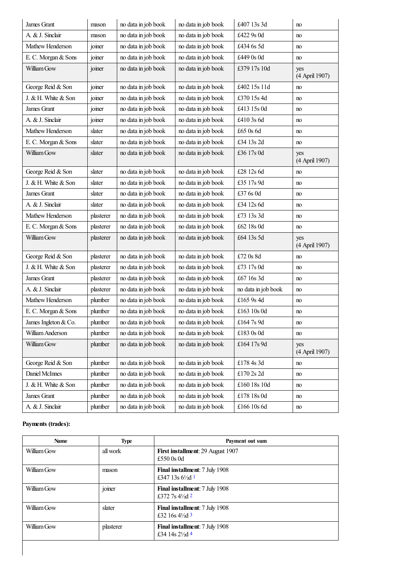| James Grant          | mason     | no data in job book | no data in job book | £407 13s 3d         | no                    |
|----------------------|-----------|---------------------|---------------------|---------------------|-----------------------|
| A. & J. Sinclair     | mason     | no data in job book | no data in job book | £422 9s 0d          | no                    |
| Mathew Henderson     | joiner    | no data in job book | no data in job book | £434 6s 5d          | no                    |
| E. C. Morgan & Sons  | joiner    | no data in job book | no data in job book | £449 0s 0d          | no                    |
| William Gow          | joiner    | no data in job book | no data in job book | £379 17s 10d        | yes<br>(4 April 1907) |
| George Reid & Son    | joiner    | no data in job book | no data in job book | £402 15s 11d        | no                    |
| J. & H. White & Son  | joiner    | no data in job book | no data in job book | £370 15s 4d         | no                    |
| James Grant          | joiner    | no data in job book | no data in job book | £413 15s 0d         | no                    |
| A. & J. Sinclair     | joiner    | no data in job book | no data in job book | £410 3s 6d          | no                    |
| Mathew Henderson     | slater    | no data in job book | no data in job book | £65 0s 6d           | no                    |
| E. C. Morgan & Sons  | slater    | no data in job book | no data in job book | £34 13s 2d          | no                    |
| William Gow          | slater    | no data in job book | no data in job book | £36 17s 0d          | yes<br>(4 April 1907) |
| George Reid & Son    | slater    | no data in job book | no data in job book | £28 12s 6d          | no                    |
| J. & H. White & Son  | slater    | no data in job book | no data in job book | £35 17s 9d          | no                    |
| James Grant          | slater    | no data in job book | no data in job book | £37 6s 0d           | no                    |
| A. & J. Sinclair     | slater    | no data in job book | no data in job book | £34 12s 6d          | no                    |
| Mathew Henderson     | plasterer | no data in job book | no data in job book | £73 13s 3d          | no                    |
| E. C. Morgan & Sons  | plasterer | no data in job book | no data in job book | £62 18s 0d          | no                    |
| William Gow          | plasterer | no data in job book | no data in job book | £64 13s 5d          | yes<br>(4 April 1907) |
| George Reid & Son    | plasterer | no data in job book | no data in job book | £72 0s 8d           | no                    |
| J. & H. White & Son  | plasterer | no data in job book | no data in job book | £73 17s 0d          | no                    |
| James Grant          | plasterer | no data in job book | no data in job book | £67 16s 3d          | no                    |
| A. & J. Sinclair     | plasterer | no data in job book | no data in job book | no data in job book | no                    |
| Mathew Henderson     | plumber   | no data in job book | no data in job book | £165 9s 4d          | no                    |
| E. C. Morgan & Sons  | plumber   | no data in job book | no data in job book | £163 10s 0d         | no                    |
| James Ingleton & Co. | plumber   | no data in job book | no data in job book | £1647s9d            | no                    |
| William Anderson     | plumber   | no data in job book | no data in job book | £183 0s 0d          | no                    |
| William Gow          | plumber   | no data in job book | no data in job book | £164 17s 9d         | yes<br>(4 April 1907) |
| George Reid & Son    | plumber   | no data in job book | no data in job book | £178 4s 3d          | no                    |
| Daniel McInnes       | plumber   | no data in job book | no data in job book | £170 2s 2d          | no                    |
| J. & H. White & Son  | plumber   | no data in job book | no data in job book | £160 18s 10d        | no                    |
| James Grant          | plumber   | no data in job book | no data in job book | £178 18s 0d         | no                    |
| A. & J. Sinclair     | plumber   | no data in job book | no data in job book | $\pounds166$ 10s 6d | no                    |

### **Payments (trades):**

<span id="page-2-3"></span><span id="page-2-2"></span><span id="page-2-1"></span><span id="page-2-0"></span>

| <b>Name</b> | <b>Type</b> | Payment out sum                                                     |
|-------------|-------------|---------------------------------------------------------------------|
| William Gow | all work    | <b>First installment: 29 August 1907</b><br>£550 0s 0d              |
| William Gow | mason       | <b>Final installment:</b> 7 July 1908<br>£347 13s $6\frac{1}{2}d$ 1 |
| William Gow | joiner      | <b>Final installment:</b> 7 July 1908<br>£372 7s $4\frac{1}{2}d$ 2  |
| William Gow | slater      | <b>Final installment:</b> 7 July 1908<br>£32 16s $4\frac{1}{2}d$ 3  |
| William Gow | plasterer   | Final installment: 7 July 1908<br>£34 14s $2\frac{1}{2}$ d 4        |